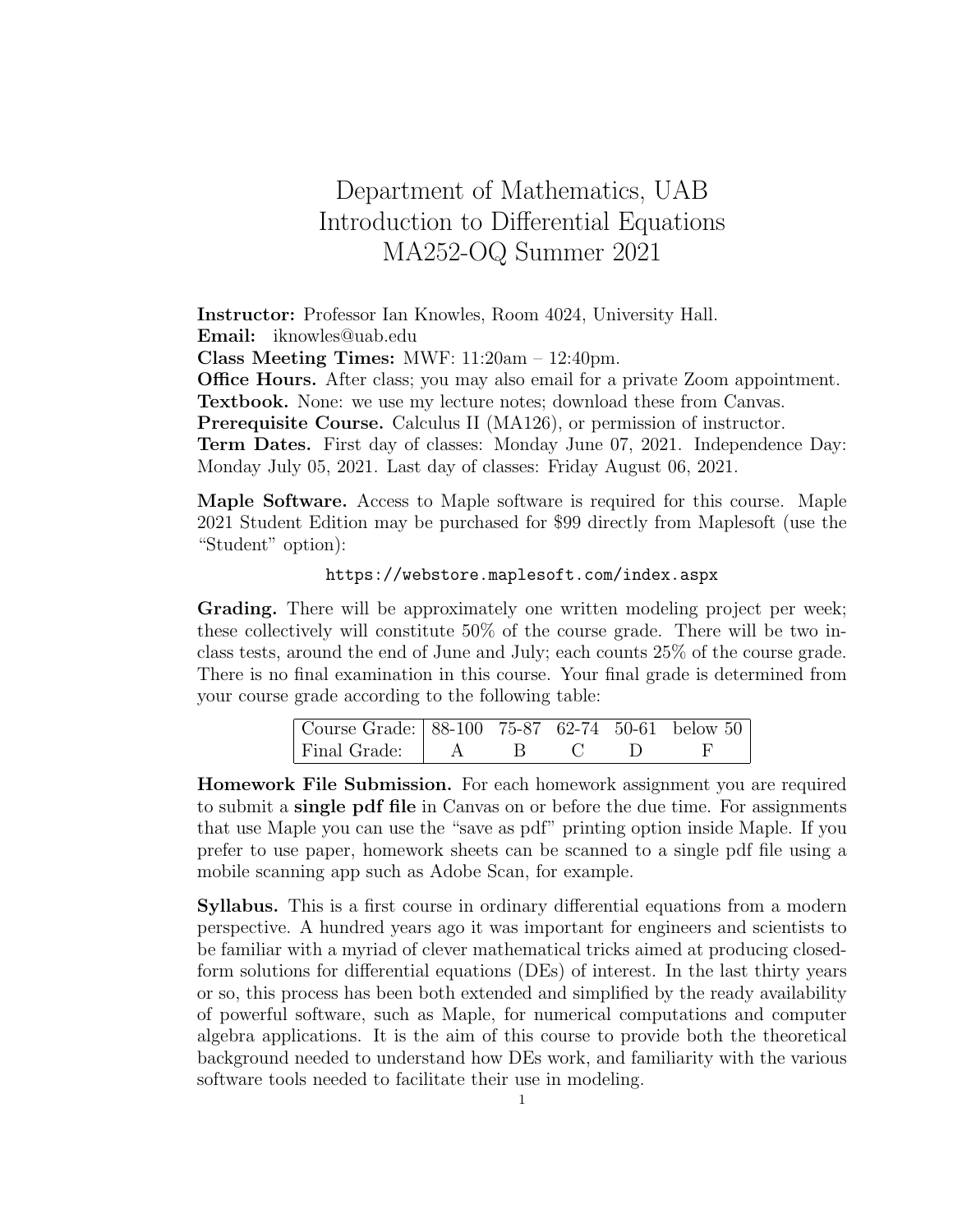## Department of Mathematics, UAB Introduction to Differential Equations MA252-OQ Summer 2021

Instructor: Professor Ian Knowles, Room 4024, University Hall. Email: iknowles@uab.edu

Class Meeting Times: MWF: 11:20am – 12:40pm.

Office Hours. After class; you may also email for a private Zoom appointment. Textbook. None: we use my lecture notes; download these from Canvas.

Prerequisite Course. Calculus II (MA126), or permission of instructor.

Term Dates. First day of classes: Monday June 07, 2021. Independence Day: Monday July 05, 2021. Last day of classes: Friday August 06, 2021.

Maple Software. Access to Maple software is required for this course. Maple 2021 Student Edition may be purchased for \$99 directly from Maplesoft (use the "Student" option):

## https://webstore.maplesoft.com/index.aspx

Grading. There will be approximately one written modeling project per week; these collectively will constitute 50% of the course grade. There will be two inclass tests, around the end of June and July; each counts 25% of the course grade. There is no final examination in this course. Your final grade is determined from your course grade according to the following table:

| Course Grade: 88-100 75-87 62-74 50-61 below 50 |  |  |  |
|-------------------------------------------------|--|--|--|
| Final Grade:   A                                |  |  |  |

Homework File Submission. For each homework assignment you are required to submit a single pdf file in Canvas on or before the due time. For assignments that use Maple you can use the "save as pdf" printing option inside Maple. If you prefer to use paper, homework sheets can be scanned to a single pdf file using a mobile scanning app such as Adobe Scan, for example.

Syllabus. This is a first course in ordinary differential equations from a modern perspective. A hundred years ago it was important for engineers and scientists to be familiar with a myriad of clever mathematical tricks aimed at producing closedform solutions for differential equations (DEs) of interest. In the last thirty years or so, this process has been both extended and simplified by the ready availability of powerful software, such as Maple, for numerical computations and computer algebra applications. It is the aim of this course to provide both the theoretical background needed to understand how DEs work, and familiarity with the various software tools needed to facilitate their use in modeling.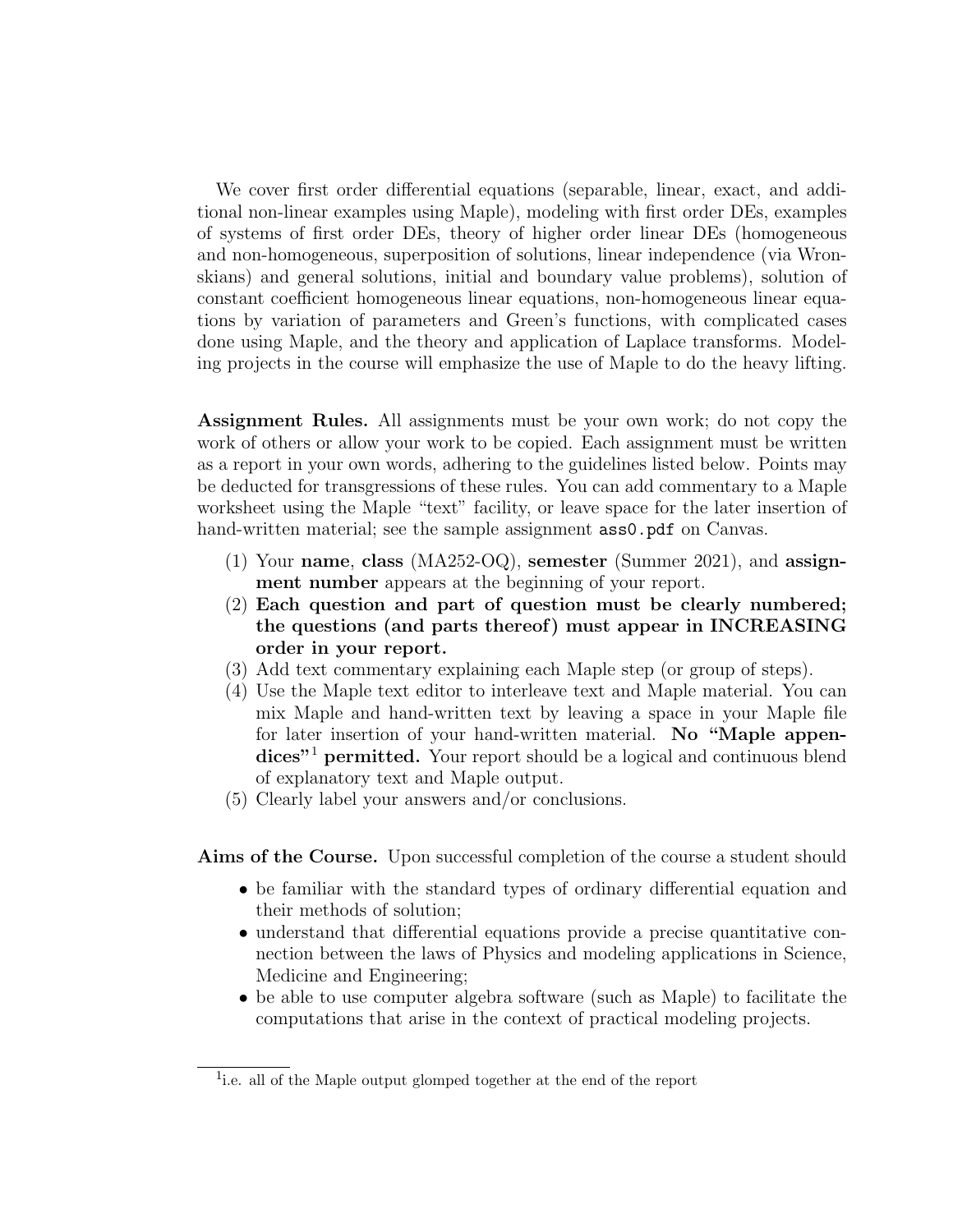We cover first order differential equations (separable, linear, exact, and additional non-linear examples using Maple), modeling with first order DEs, examples of systems of first order DEs, theory of higher order linear DEs (homogeneous and non-homogeneous, superposition of solutions, linear independence (via Wronskians) and general solutions, initial and boundary value problems), solution of constant coefficient homogeneous linear equations, non-homogeneous linear equations by variation of parameters and Green's functions, with complicated cases done using Maple, and the theory and application of Laplace transforms. Modeling projects in the course will emphasize the use of Maple to do the heavy lifting.

Assignment Rules. All assignments must be your own work; do not copy the work of others or allow your work to be copied. Each assignment must be written as a report in your own words, adhering to the guidelines listed below. Points may be deducted for transgressions of these rules. You can add commentary to a Maple worksheet using the Maple "text" facility, or leave space for the later insertion of hand-written material; see the sample assignment  $ass0.$  pdf on Canvas.

- (1) Your name, class (MA252-OQ), semester (Summer 2021), and assignment number appears at the beginning of your report.
- (2) Each question and part of question must be clearly numbered; the questions (and parts thereof) must appear in INCREASING order in your report.
- (3) Add text commentary explaining each Maple step (or group of steps).
- (4) Use the Maple text editor to interleave text and Maple material. You can mix Maple and hand-written text by leaving a space in your Maple file for later insertion of your hand-written material. No "Maple appendices"<sup>1</sup> permitted. Your report should be a logical and continuous blend of explanatory text and Maple output.
- (5) Clearly label your answers and/or conclusions.

Aims of the Course. Upon successful completion of the course a student should

- be familiar with the standard types of ordinary differential equation and their methods of solution;
- understand that differential equations provide a precise quantitative connection between the laws of Physics and modeling applications in Science, Medicine and Engineering;
- be able to use computer algebra software (such as Maple) to facilitate the computations that arise in the context of practical modeling projects.

<sup>&</sup>lt;sup>1</sup>i.e. all of the Maple output glomped together at the end of the report